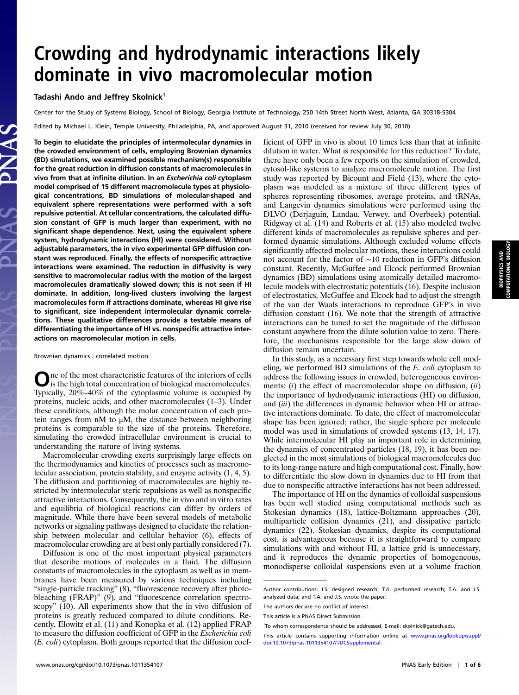# Crowding and hydrodynamic interactions likely dominate in vivo macromolecular motion

## Tadashi Ando and Jeffrey Skolnick<sup>1</sup>

Center for the Study of Systems Biology, School of Biology, Georgia Institute of Technology, 250 14th Street North West, Atlanta, GA 30318-5304

Edited by Michael L. Klein, Temple University, Philadelphia, PA, and approved August 31, 2010 (received for review July 30, 2010)

To begin to elucidate the principles of intermolecular dynamics in the crowded environment of cells, employing Brownian dynamics (BD) simulations, we examined possible mechanism(s) responsible for the great reduction in diffusion constants of macromolecules in vivo from that at infinite dilution. In an Escherichia coli cytoplasm model comprised of 15 different macromolecule types at physiological concentrations, BD simulations of molecular-shaped and equivalent sphere representations were performed with a soft repulsive potential. At cellular concentrations, the calculated diffusion constant of GFP is much larger than experiment, with no significant shape dependence. Next, using the equivalent sphere system, hydrodynamic interactions (HI) were considered. Without adjustable parameters, the in vivo experimental GFP diffusion constant was reproduced. Finally, the effects of nonspecific attractive interactions were examined. The reduction in diffusivity is very sensitive to macromolecular radius with the motion of the largest macromolecules dramatically slowed down; this is not seen if HI dominate. In addition, long-lived clusters involving the largest macromolecules form if attractions dominate, whereas HI give rise to significant, size independent intermolecular dynamic correlations. These qualitative differences provide a testable means of differentiating the importance of HI vs. nonspecific attractive interactions on macromolecular motion in cells.

Brownian dynamics ∣ correlated motion

One of the most characteristic features of the interiors of cells<br>is the high total concentration of biological macromolecules. Typically, 20%–40% of the cytoplasmic volume is occupied by proteins, nucleic acids, and other macromolecules (1–3). Under these conditions, although the molar concentration of each protein ranges from nM to μM, the distance between neighboring proteins is comparable to the size of the proteins. Therefore, simulating the crowded intracellular environment is crucial to understanding the nature of living systems.

Macromolecular crowding exerts surprisingly large effects on the thermodynamics and kinetics of processes such as macromolecular association, protein stability, and enzyme activity (1, 4, 5). The diffusion and partitioning of macromolecules are highly restricted by intermolecular steric repulsions as well as nonspecific attractive interactions. Consequently, the in vivo and in vitro rates and equilibria of biological reactions can differ by orders of magnitude. While there have been several models of metabolic networks or signaling pathways designed to elucidate the relationship between molecular and cellular behavior (6), effects of macromolecular crowding are at best only partially considered (7).

Diffusion is one of the most important physical parameters that describe motions of molecules in a fluid. The diffusion constants of macromolecules in the cytoplasm as well as in membranes have been measured by various techniques including "single-particle tracking" (8), "fluorescence recovery after photobleaching (FRAP)" (9), and "fluorescence correlation spectroscopy" (10). All experiments show that the in vivo diffusion of proteins is greatly reduced compared to dilute conditions. Recently, Elowitz et al. (11) and Konopka et al. (12) applied FRAP to measure the diffusion coefficient of GFP in the Escherichia coli (E. coli) cytoplasm. Both groups reported that the diffusion coefficient of GFP in vivo is about 10 times less than that at infinite dilution in water. What is responsible for this reduction? To date, there have only been a few reports on the simulation of crowded, cytosol-like systems to analyze macromolecule motion. The first study was reported by Bicount and Field (13), where the cytoplasm was modeled as a mixture of three different types of spheres representing ribosomes, average proteins, and tRNAs, and Langevin dynamics simulations were performed using the DLVO (Derjaguin, Landau, Verwey, and Overbeek) potential. Ridgway et al. (14) and Roberts et al. (15) also modeled twelve different kinds of macromolecules as repulsive spheres and performed dynamic simulations. Although excluded volume effects significantly affected molecular motions, these interactions could not account for the factor of <sup>∼</sup><sup>10</sup> reduction in GFP's diffusion constant. Recently, McGuffee and Elcock performed Brownian dynamics (BD) simulations using atomically detailed macromolecule models with electrostatic potentials (16). Despite inclusion of electrostatics, McGuffee and Elcock had to adjust the strength of the van der Waals interactions to reproduce GFP's in vivo diffusion constant (16). We note that the strength of attractive interactions can be tuned to set the magnitude of the diffusion constant anywhere from the dilute solution value to zero. Therefore, the mechanisms responsible for the large slow down of diffusion remain uncertain.

In this study, as a necessary first step towards whole cell modeling, we performed BD simulations of the E. coli cytoplasm to address the following issues in crowded, heterogeneous environments:  $(i)$  the effect of macromolecular shape on diffusion,  $(ii)$ the importance of hydrodynamic interactions (HI) on diffusion, and (iii) the differences in dynamic behavior when HI or attractive interactions dominate. To date, the effect of macromolecular shape has been ignored; rather, the single sphere per molecule model was used in simulations of crowded systems (13, 14, 17). While intermolecular HI play an important role in determining the dynamics of concentrated particles (18, 19), it has been neglected in the most simulations of biological macromolecules due to its long-range nature and high computational cost. Finally, how to differentiate the slow down in dynamics due to HI from that due to nonspecific attractive interactions has not been addressed.

The importance of HI on the dynamics of colloidal suspensions has been well studied using computational methods such as Stokesian dynamics (18), lattice-Boltzmann approaches (20), multiparticle collision dynamics (21), and dissipative particle dynamics (22). Stokesian dynamics, despite its computational cost, is advantageous because it is straightforward to compare simulations with and without HI, a lattice grid is unnecessary, and it reproduces the dynamic properties of homogeneous, monodisperse colloidal suspensions even at a volume fraction

Author contributions: J.S. designed research; T.A. performed research; T.A. and J.S. analyzed data; and T.A. and J.S. wrote the paper.

The authors declare no conflict of interest.

This article is a PNAS Direct Submission.

<sup>1</sup> To whom correspondence should be addressed. E-mail: skolnick@gatech.edu.

This article contains supporting information online at [www.pnas.org/lookup/suppl/](http://www.pnas.org/lookup/suppl/doi:10.1073/pnas.1011354107/-/DCSupplemental) [doi:10.1073/pnas.1011354107/-/DCSupplemental.](http://www.pnas.org/lookup/suppl/doi:10.1073/pnas.1011354107/-/DCSupplemental)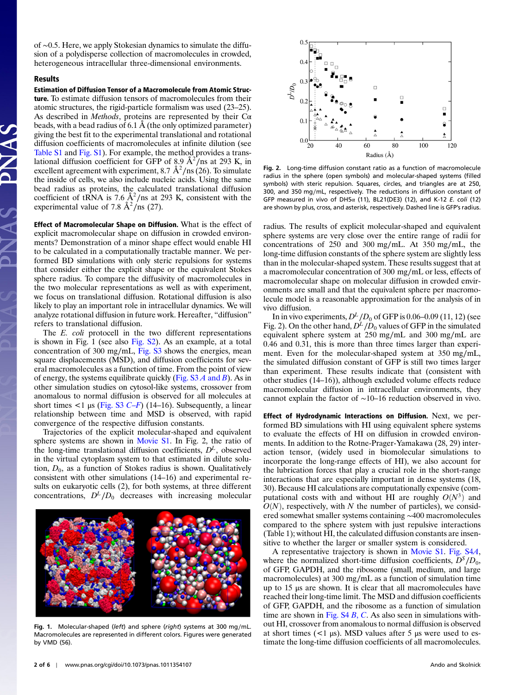of ∼0.5. Here, we apply Stokesian dynamics to simulate the diffusion of a polydisperse collection of macromolecules in crowded, heterogeneous intracellular three-dimensional environments.

## Results

Estimation of Diffusion Tensor of a Macromolecule from Atomic Structure. To estimate diffusion tensors of macromolecules from their atomic structures, the rigid-particle formalism was used (23–25). As described in Methods, proteins are represented by their  $C\alpha$ beads, with a bead radius of 6.1 Å (the only optimized parameter) giving the best fit to the experimental translational and rotational diffusion coefficients of macromolecules at infinite dilution (see [Table S1](http://www.pnas.org/lookup/suppl/doi:10.1073/pnas.1011354107/-/DCSupplemental/pnas.1011354107_SI.pdf?targetid=ST1) and [Fig. S1](http://www.pnas.org/lookup/suppl/doi:10.1073/pnas.1011354107/-/DCSupplemental/pnas.1011354107_SI.pdf?targetid=SF1)). For example, the method provides a translational diffusion coefficient for GFP of 8.9  $\AA^2$ /ns at 293 K, in excellent agreement with experiment, 8.7  $\AA^2$ /ns (26). To simulate the inside of cells, we also include nucleic acids. Using the same bead radius as proteins, the calculated translational diffusion coefficient of tRNA is 7.6  $A^2$ /ns at 293 K, consistent with the experimental value of 7.8  $\rm \AA^2 / \text{ns}$  (27).

Effect of Macromolecular Shape on Diffusion. What is the effect of explicit macromolecular shape on diffusion in crowded environments? Demonstration of a minor shape effect would enable HI to be calculated in a computationally tractable manner. We performed BD simulations with only steric repulsions for systems that consider either the explicit shape or the equivalent Stokes sphere radius. To compare the diffusivity of macromolecules in the two molecular representations as well as with experiment, we focus on translational diffusion. Rotational diffusion is also likely to play an important role in intracellular dynamics. We will analyze rotational diffusion in future work. Hereafter, "diffusion" refers to translational diffusion.

The *E. coli* protocell in the two different representations is shown in Fig. 1 (see also [Fig. S2](http://www.pnas.org/lookup/suppl/doi:10.1073/pnas.1011354107/-/DCSupplemental/pnas.1011354107_SI.pdf?targetid=SF2)). As an example, at a total concentration of 300 mg∕mL, [Fig. S3](http://www.pnas.org/lookup/suppl/doi:10.1073/pnas.1011354107/-/DCSupplemental/pnas.1011354107_SI.pdf?targetid=SF3) shows the energies, mean square displacements (MSD), and diffusion coefficients for several macromolecules as a function of time. From the point of view of energy, the systems equilibrate quickly (Fig.  $S3A$  and B). As in other simulation studies on cytosol-like systems, crossover from anomalous to normal diffusion is observed for all molecules at short times  $\lt 1$  μs ([Fig. S3](http://www.pnas.org/lookup/suppl/doi:10.1073/pnas.1011354107/-/DCSupplemental/pnas.1011354107_SI.pdf?targetid=SF3) C–F) (14–16). Subsequently, a linear relationship between time and MSD is observed, with rapid convergence of the respective diffusion constants.

Trajectories of the explicit molecular-shaped and equivalent sphere systems are shown in [Movie S1](http://www.pnas.org/lookup/suppl/doi:10.1073/pnas.1011354107/-/DCSupplemental/pnas.1011354107_SI.pdf?targetid=SM1). In Fig. 2, the ratio of the long-time translational diffusion coefficients,  $D<sup>L</sup>$ , observed in the virtual cytoplasm system to that estimated in dilute solution,  $D_0$ , as a function of Stokes radius is shown. Qualitatively consistent with other simulations (14–16) and experimental results on eukaryotic cells (2), for both systems, at three different concentrations,  $D^L/D_0$  decreases with increasing molecular



Fig. 1. Molecular-shaped (left) and sphere (right) systems at 300 mg/mL. Macromolecules are represented in different colors. Figures were generated by VMD (56).



Fig. 2. Long-time diffusion constant ratio as a function of macromolecule radius in the sphere (open symbols) and molecular-shaped systems (filled symbols) with steric repulsion. Squares, circles, and triangles are at 250, 300, and 350 mg∕mL, respectively. The reductions in diffusion constant of GFP measured in vivo of DH5 $\alpha$  (11), BL21(DE3) (12), and K-12 E. coli (12) are shown by plus, cross, and asterisk, respectively. Dashed line is GFP's radius.

radius. The results of explicit molecular-shaped and equivalent sphere systems are very close over the entire range of radii for concentrations of 250 and 300 mg∕mL. At 350 mg∕mL, the long-time diffusion constants of the sphere system are slightly less than in the molecular-shaped system. These results suggest that at a macromolecular concentration of 300 mg∕mL or less, effects of macromolecular shape on molecular diffusion in crowded environments are small and that the equivalent sphere per macromolecule model is a reasonable approximation for the analysis of in vivo diffusion.

In in vivo experiments,  $D^L/D_0$  of GFP is 0.06–0.09 (11, 12) (see Fig. 2). On the other hand,  $D^L/D_0$  values of GFP in the simulated equivalent sphere system at 250 mg∕mL and 300 mg∕mL are 0.46 and 0.31, this is more than three times larger than experiment. Even for the molecular-shaped system at 350 mg∕mL, the simulated diffusion constant of GFP is still two times larger than experiment. These results indicate that (consistent with other studies (14–16)), although excluded volume effects reduce macromolecular diffusion in intracellular environments, they cannot explain the factor of <sup>∼</sup>10–<sup>16</sup> reduction observed in vivo.

Effect of Hydrodynamic Interactions on Diffusion. Next, we performed BD simulations with HI using equivalent sphere systems to evaluate the effects of HI on diffusion in crowded environments. In addition to the Rotne-Prager-Yamakawa (28, 29) interaction tensor, (widely used in biomolecular simulations to incorporate the long-range effects of HI), we also account for the lubrication forces that play a crucial role in the short-range interactions that are especially important in dense systems (18, 30). Because HI calculations are computationally expensive (computational costs with and without HI are roughly  $O(N^3)$  and  $O(N)$ , respectively, with N the number of particles), we considered somewhat smaller systems containing ∼400 macromolecules compared to the sphere system with just repulsive interactions (Table 1); without HI, the calculated diffusion constants are insensitive to whether the larger or smaller system is considered.

A representative trajectory is shown in [Movie S1](http://www.pnas.org/lookup/suppl/doi:10.1073/pnas.1011354107/-/DCSupplemental/pnas.1011354107_SI.pdf?targetid=SM1). [Fig. S4](http://www.pnas.org/lookup/suppl/doi:10.1073/pnas.1011354107/-/DCSupplemental/pnas.1011354107_SI.pdf?targetid=SF4)A, where the normalized short-time diffusion coefficients,  $\overline{D}^S/D_0$ , of GFP, GAPDH, and the ribosome (small, medium, and large macromolecules) at 300 mg∕mL as a function of simulation time up to 15 μs are shown. It is clear that all macromolecules have reached their long-time limit. The MSD and diffusion coefficients of GFP, GAPDH, and the ribosome as a function of simulation time are shown in Fig.  $S4 B, C$ . As also seen in simulations without HI, crossover from anomalous to normal diffusion is observed at short times  $($ <1 μs). MSD values after 5 μs were used to estimate the long-time diffusion coefficients of all macromolecules.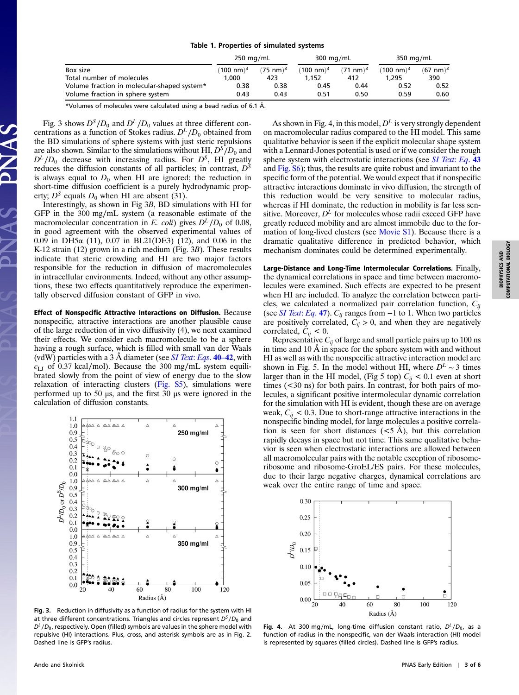#### Table 1. Properties of simulated systems

|                                             | $250 \text{ mg/mL}$  |                     | $300 \text{ mg/mL}$  |                     | $350 \text{ mg/mL}$    |                     |
|---------------------------------------------|----------------------|---------------------|----------------------|---------------------|------------------------|---------------------|
| Box size                                    | $(100 \text{ nm})^3$ | $(75 \text{ nm})^3$ | $(100 \text{ nm})^3$ | $(71 \text{ nm})^3$ | $(100 \; \text{nm})^3$ | $(67 \text{ nm})^3$ |
| Total number of molecules                   | 000.1                | 423                 | 1.152                | 412                 | 1.295                  | 390                 |
| Volume fraction in molecular-shaped system* | 0.38                 | 0.38                | 0.45                 | 0.44                | 0.52                   | 0.52                |
| Volume fraction in sphere system            | 0.43                 | 0.43                | 0.51                 | 0.50                | 0.59                   | 0.60                |

\*Volumes of molecules were calculated using a bead radius of 6.1 Å.

Fig. 3 shows  $D^{S}/D_0$  and  $D^{L}/D_0$  values at three different concentrations as a function of Stokes radius.  $D^L/D_0$  obtained from the BD simulations of sphere systems with just steric repulsions are also shown. Similar to the simulations without HI,  $D^{S}/D_0$  and  $D^L/D_0$  decrease with increasing radius. For  $D^S$ , HI greatly reduces the diffusion constants of all particles; in contrast,  $D<sup>S</sup>$ is always equal to  $D_0$  when HI are ignored; the reduction in short-time diffusion coefficient is a purely hydrodynamic property;  $D^S$  equals  $D_0$  when HI are absent (31).

Interestingly, as shown in Fig 3B, BD simulations with HI for GFP in the 300 mg∕mL system (a reasonable estimate of the macromolecular concentration in E. coli) gives  $D^L/D_0$  of 0.08, in good agreement with the observed experimental values of 0.09 in DH5 $\alpha$  (11), 0.07 in BL21(DE3) (12), and 0.06 in the K-12 strain (12) grown in a rich medium (Fig. 3B). These results indicate that steric crowding and HI are two major factors responsible for the reduction in diffusion of macromolecules in intracellular environments. Indeed, without any other assumptions, these two effects quantitatively reproduce the experimentally observed diffusion constant of GFP in vivo.

Effect of Nonspecific Attractive Interactions on Diffusion. Because nonspecific, attractive interactions are another plausible cause of the large reduction of in vivo diffusivity (4), we next examined their effects. We consider each macromolecule to be a sphere having a rough surface, which is filled with small van der Waals (vdW) particles with a 3 Å diameter (see *[SI Text](http://www.pnas.org/lookup/suppl/doi:10.1073/pnas.1011354107/-/DCSupplemental/pnas.1011354107_SI.pdf?targetid=STXT): Eqs.* 40–42, with  $\epsilon_{\text{LJ}}$  of 0.37 kcal/mol). Because the 300 mg/mL system equilibrated slowly from the point of view of energy due to the slow relaxation of interacting clusters [\(Fig. S5](http://www.pnas.org/lookup/suppl/doi:10.1073/pnas.1011354107/-/DCSupplemental/pnas.1011354107_SI.pdf?targetid=SF5)), simulations were performed up to 50 μs, and the first 30 μs were ignored in the calculation of diffusion constants.



Fig. 3. Reduction in diffusivity as a function of radius for the system with HI at three different concentrations. Triangles and circles represent  $D^5/D_0$  and  $D<sup>L</sup>/D<sub>0</sub>$ , respectively. Open (filled) symbols are values in the sphere model with repulsive (HI) interactions. Plus, cross, and asterisk symbols are as in Fig. 2. Dashed line is GFP's radius.

with a Lennard-Jones potential is used or if we consider the rough sphere system with electrostatic interactions (see *[SI Text](http://www.pnas.org/lookup/suppl/doi:10.1073/pnas.1011354107/-/DCSupplemental/pnas.1011354107_SI.pdf?targetid=STXT): Eq.* 43 and [Fig. S6\)](http://www.pnas.org/lookup/suppl/doi:10.1073/pnas.1011354107/-/DCSupplemental/pnas.1011354107_SI.pdf?targetid=SF6); thus, the results are quite robust and invariant to the specific form of the potential. We would expect that if nonspecific attractive interactions dominate in vivo diffusion, the strength of this reduction would be very sensitive to molecular radius, whereas if HI dominate, the reduction in mobility is far less sensitive. Moreover,  $D<sup>L</sup>$  for molecules whose radii exceed GFP have greatly reduced mobility and are almost immobile due to the formation of long-lived clusters (see [Movie S1\)](http://www.pnas.org/lookup/suppl/doi:10.1073/pnas.1011354107/-/DCSupplemental/pnas.1011354107_SI.pdf?targetid=SM1). Because there is a dramatic qualitative difference in predicted behavior, which mechanism dominates could be determined experimentally. Large-Distance and Long-Time Intermolecular Correlations. Finally,

As shown in Fig. 4, in this model,  $D<sup>L</sup>$  is very strongly dependent on macromolecular radius compared to the HI model. This same qualitative behavior is seen if the explicit molecular shape system

the dynamical correlations in space and time between macromolecules were examined. Such effects are expected to be present when HI are included. To analyze the correlation between particles, we calculated a normalized pair correlation function,  $C_{ii}$ (see *[SI Text](http://www.pnas.org/lookup/suppl/doi:10.1073/pnas.1011354107/-/DCSupplemental/pnas.1011354107_SI.pdf?targetid=STXT): Eq.* 47).  $C_{ij}$  ranges from  $-1$  to 1. When two particles are positively correlated,  $C_{ij} > 0$ , and when they are negatively correlated,  $C_{ij}$  < 0.

Representative  $C_{ii}$  of large and small particle pairs up to 100 ns in time and 10 Å in space for the sphere system with and without HI as well as with the nonspecific attractive interaction model are shown in Fig. 5. In the model without HI, where  $D^{\perp} \sim 3$  times larger than in the HI model, (Fig 5 top)  $C_{ij}$  < 0.1 even at short times (<30 ns) for both pairs. In contrast, for both pairs of molecules, a significant positive intermolecular dynamic correlation for the simulation with HI is evident, though these are on average weak,  $C_{ij}$  < 0.3. Due to short-range attractive interactions in the nonspecific binding model, for large molecules a positive correlation is seen for short distances  $(< 5 \text{ Å})$ , but this correlation rapidly decays in space but not time. This same qualitative behavior is seen when electrostatic interactions are allowed between all macromolecular pairs with the notable exception of ribosomeribosome and ribosome-GroEL/ES pairs. For these molecules, due to their large negative charges, dynamical correlations are weak over the entire range of time and space.



Fig. 4. At 300 mg/mL, long-time diffusion constant ratio,  $D^L/D_0$ , as a function of radius in the nonspecific, van der Waals interaction (HI) model is represented by squares (filled circles). Dashed line is GFP's radius.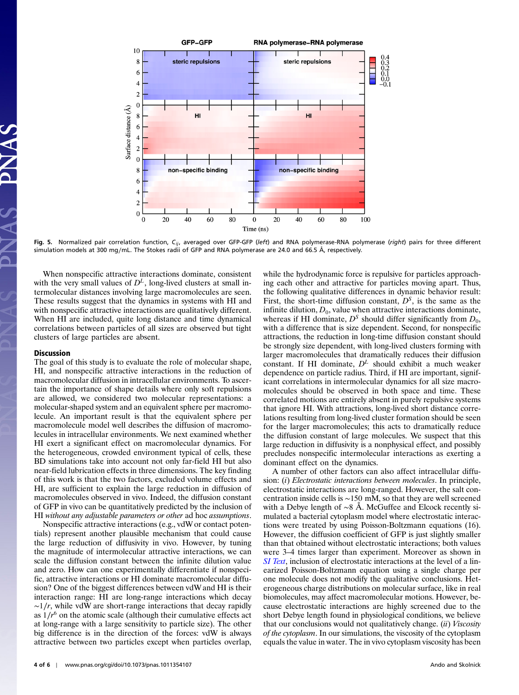

Fig. 5. Normalized pair correlation function,  $C_{ij}$ , averaged over GFP-GFP (left) and RNA polymerase-RNA polymerase (right) pairs for three different simulation models at 300 mg∕mL. The Stokes radii of GFP and RNA polymerase are 24.0 and 66.5 Å, respectively.

When nonspecific attractive interactions dominate, consistent with the very small values of  $D<sup>L</sup>$ , long-lived clusters at small intermolecular distances involving large macromolecules are seen. These results suggest that the dynamics in systems with HI and with nonspecific attractive interactions are qualitatively different. When HI are included, quite long distance and time dynamical correlations between particles of all sizes are observed but tight clusters of large particles are absent.

### Discussion

The goal of this study is to evaluate the role of molecular shape, HI, and nonspecific attractive interactions in the reduction of macromolecular diffusion in intracellular environments. To ascertain the importance of shape details where only soft repulsions are allowed, we considered two molecular representations: a molecular-shaped system and an equivalent sphere per macromolecule. An important result is that the equivalent sphere per macromolecule model well describes the diffusion of macromolecules in intracellular environments. We next examined whether HI exert a significant effect on macromolecular dynamics. For the heterogeneous, crowded environment typical of cells, these BD simulations take into account not only far-field HI but also near-field lubrication effects in three dimensions. The key finding of this work is that the two factors, excluded volume effects and HI, are sufficient to explain the large reduction in diffusion of macromolecules observed in vivo. Indeed, the diffusion constant of GFP in vivo can be quantitatively predicted by the inclusion of HI without any adjustable parameters or other ad hoc assumptions.

Nonspecific attractive interactions (e.g., vdW or contact potentials) represent another plausible mechanism that could cause the large reduction of diffusivity in vivo. However, by tuning the magnitude of intermolecular attractive interactions, we can scale the diffusion constant between the infinite dilution value and zero. How can one experimentally differentiate if nonspecific, attractive interactions or HI dominate macromolecular diffusion? One of the biggest differences between vdW and HI is their interaction range: HI are long-range interactions which decay  $\sim$ 1/r, while vdW are short-range interactions that decay rapidly as  $1/r<sup>6</sup>$  on the atomic scale (although their cumulative effects act at long-range with a large sensitivity to particle size). The other big difference is in the direction of the forces: vdW is always attractive between two particles except when particles overlap,

while the hydrodynamic force is repulsive for particles approaching each other and attractive for particles moving apart. Thus, the following qualitative differences in dynamic behavior result: First, the short-time diffusion constant,  $D<sup>S</sup>$ , is the same as the infinite dilution,  $D_0$ , value when attractive interactions dominate, whereas if HI dominate,  $D^S$  should differ significantly from  $D_0$ , with a difference that is size dependent. Second, for nonspecific attractions, the reduction in long-time diffusion constant should be strongly size dependent, with long-lived clusters forming with larger macromolecules that dramatically reduces their diffusion constant. If HI dominate,  $D<sup>L</sup>$  should exhibit a much weaker dependence on particle radius. Third, if HI are important, significant correlations in intermolecular dynamics for all size macromolecules should be observed in both space and time. These correlated motions are entirely absent in purely repulsive systems that ignore HI. With attractions, long-lived short distance correlations resulting from long-lived cluster formation should be seen for the larger macromolecules; this acts to dramatically reduce the diffusion constant of large molecules. We suspect that this large reduction in diffusivity is a nonphysical effect, and possibly precludes nonspecific intermolecular interactions as exerting a dominant effect on the dynamics.

A number of other factors can also affect intracellular diffusion: (i) Electrostatic interactions between molecules. In principle, electrostatic interactions are long-ranged. However, the salt concentration inside cells is ∼150 mM, so that they are well screened with a Debye length of ∼8 Å. McGuffee and Elcock recently simulated a bacterial cytoplasm model where electrostatic interactions were treated by using Poisson-Boltzmann equations (16). However, the diffusion coefficient of GFP is just slightly smaller than that obtained without electrostatic interactions; both values were 3–4 times larger than experiment. Moreover as shown in [SI Text](http://www.pnas.org/lookup/suppl/doi:10.1073/pnas.1011354107/-/DCSupplemental/pnas.1011354107_SI.pdf?targetid=STXT), inclusion of electrostatic interactions at the level of a linearized Poisson-Boltzmann equation using a single charge per one molecule does not modify the qualitative conclusions. Heterogeneous charge distributions on molecular surface, like in real biomolecules, may affect macromolecular motions. However, because electrostatic interactions are highly screened due to the short Debye length found in physiological conditions, we believe that our conclusions would not qualitatively change. (*ii*) *Viscosity* of the cytoplasm. In our simulations, the viscosity of the cytoplasm equals the value in water. The in vivo cytoplasm viscosity has been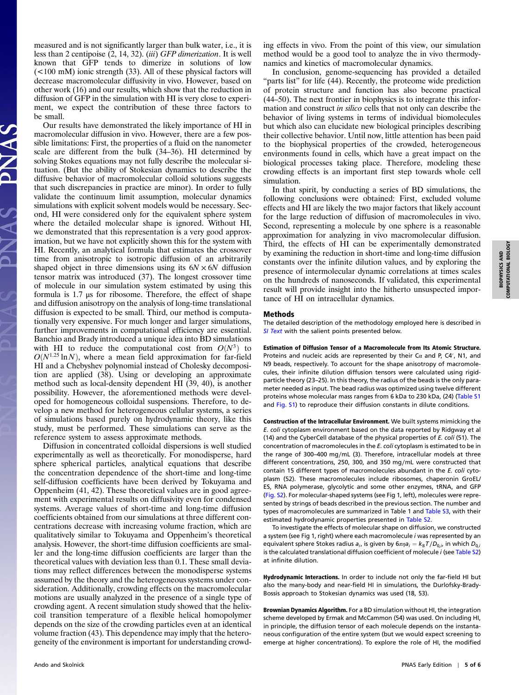measured and is not significantly larger than bulk water, i.e., it is less than 2 centipoise (2, 14, 32). (iii) GFP dimerization. It is well known that GFP tends to dimerize in solutions of low (<100 mM) ionic strength (33). All of these physical factors will decrease macromolecular diffusivity in vivo. However, based on other work (16) and our results, which show that the reduction in diffusion of GFP in the simulation with HI is very close to experiment, we expect the contribution of these three factors to be small.

Our results have demonstrated the likely importance of HI in macromolecular diffusion in vivo. However, there are a few possible limitations: First, the properties of a fluid on the nanometer scale are different from the bulk (34–36). HI determined by solving Stokes equations may not fully describe the molecular situation. (But the ability of Stokesian dynamics to describe the diffusive behavior of macromolecular colloid solutions suggests that such discrepancies in practice are minor). In order to fully validate the continuum limit assumption, molecular dynamics simulations with explicit solvent models would be necessary. Second, HI were considered only for the equivalent sphere system where the detailed molecular shape is ignored. Without HI, we demonstrated that this representation is a very good approximation, but we have not explicitly shown this for the system with HI. Recently, an analytical formula that estimates the crossover time from anisotropic to isotropic diffusion of an arbitrarily shaped object in three dimensions using its  $6N \times 6N$  diffusion tensor matrix was introduced (37). The longest crossover time of molecule in our simulation system estimated by using this formula is 1.7 μs for ribosome. Therefore, the effect of shape and diffusion anisotropy on the analysis of long-time translational diffusion is expected to be small. Third, our method is computationally very expensive. For much longer and larger simulations, further improvements in computational efficiency are essential. Banchio and Brady introduced a unique idea into BD simulations with HI to reduce the computational cost from  $O(N^3)$  to  $O(N^{1.25} \ln N)$ , where a mean field approximation for far-field HI and a Chebyshev polynomial instead of Cholesky decomposition are applied (38). Using or developing an approximate method such as local-density dependent HI (39, 40), is another possibility. However, the aforementioned methods were developed for homogeneous colloidal suspensions. Therefore, to develop a new method for heterogeneous cellular systems, a series of simulations based purely on hydrodynamic theory, like this study, must be performed. These simulations can serve as the reference system to assess approximate methods.

Diffusion in concentrated colloidal dispersions is well studied experimentally as well as theoretically. For monodisperse, hard sphere spherical particles, analytical equations that describe the concentration dependence of the short-time and long-time self-diffusion coefficients have been derived by Tokuyama and Oppenheim (41, 42). These theoretical values are in good agreement with experimental results on diffusivity even for condensed systems. Average values of short-time and long-time diffusion coefficients obtained from our simulations at three different concentrations decrease with increasing volume fraction, which are qualitatively similar to Tokuyama and Oppenheim's theoretical analysis. However, the short-time diffusion coefficients are smaller and the long-time diffusion coefficients are larger than the theoretical values with deviation less than 0.1. These small deviations may reflect differences between the monodisperse systems assumed by the theory and the heterogeneous systems under consideration. Additionally, crowding effects on the macromolecular motions are usually analyzed in the presence of a single type of crowding agent. A recent simulation study showed that the helixcoil transition temperature of a flexible helical homopolymer depends on the size of the crowding particles even at an identical volume fraction (43). This dependence may imply that the heterogeneity of the environment is important for understanding crowding effects in vivo. From the point of this view, our simulation method would be a good tool to analyze the in vivo thermodynamics and kinetics of macromolecular dynamics.

In conclusion, genome-sequencing has provided a detailed "parts list" for life (44). Recently, the proteome wide prediction of protein structure and function has also become practical (44–50). The next frontier in biophysics is to integrate this information and construct in silico cells that not only can describe the behavior of living systems in terms of individual biomolecules but which also can elucidate new biological principles describing their collective behavior. Until now, little attention has been paid to the biophysical properties of the crowded, heterogeneous environments found in cells, which have a great impact on the biological processes taking place. Therefore, modeling these crowding effects is an important first step towards whole cell simulation.

In that spirit, by conducting a series of BD simulations, the following conclusions were obtained: First, excluded volume effects and HI are likely the two major factors that likely account for the large reduction of diffusion of macromolecules in vivo. Second, representing a molecule by one sphere is a reasonable approximation for analyzing in vivo macromolecular diffusion. Third, the effects of HI can be experimentally demonstrated by examining the reduction in short-time and long-time diffusion constants over the infinite dilution values, and by exploring the presence of intermolecular dynamic correlations at times scales on the hundreds of nanoseconds. If validated, this experimental result will provide insight into the hitherto unsuspected importance of HI on intracellular dynamics.

#### Methods

The detailed description of the methodology employed here is described in [SI Text](http://www.pnas.org/lookup/suppl/doi:10.1073/pnas.1011354107/-/DCSupplemental/pnas.1011354107_SI.pdf?targetid=STXT) with the salient points presented below.

Estimation of Diffusion Tensor of a Macromolecule from Its Atomic Structure. Proteins and nucleic acids are represented by their C $\alpha$  and P, C4', N1, and N9 beads, respectively. To account for the shape anisotropy of macromolecules, their infinite dilution diffusion tensors were calculated using rigidparticle theory (23–25). In this theory, the radius of the beads is the only parameter needed as input. The bead radius was optimized using twelve different proteins whose molecular mass ranges from 6 kDa to 230 kDa, (24) ([Table S1](http://www.pnas.org/lookup/suppl/doi:10.1073/pnas.1011354107/-/DCSupplemental/pnas.1011354107_SI.pdf?targetid=ST1) and [Fig. S1\)](http://www.pnas.org/lookup/suppl/doi:10.1073/pnas.1011354107/-/DCSupplemental/pnas.1011354107_SI.pdf?targetid=SF1) to reproduce their diffusion constants in dilute conditions.

Construction of the Intracellular Environment. We built systems mimicking the E. coli cytoplasm environment based on the data reported by Ridgway et al (14) and the CyberCell database of the physical properties of E. coli (51). The concentration of macromolecules in the E. coli cytoplasm is estimated to be in the range of 300–400 mg∕mL (3). Therefore, intracellular models at three different concentrations, 250, 300, and 350 mg∕mL were constructed that contain 15 different types of macromolecules abundant in the E. coli cytoplasm (52). These macromolecules include ribosomes, chaperonin GroEL/ ES, RNA polymerase, glycolytic and some other enzymes, tRNA, and GFP [\(Fig. S2\)](http://www.pnas.org/lookup/suppl/doi:10.1073/pnas.1011354107/-/DCSupplemental/pnas.1011354107_SI.pdf?targetid=SF2). For molecular-shaped systems (see Fig 1, left), molecules were represented by strings of beads described in the previous section. The number and types of macromolecules are summarized in Table 1 and [Table S3](http://www.pnas.org/lookup/suppl/doi:10.1073/pnas.1011354107/-/DCSupplemental/pnas.1011354107_SI.pdf?targetid=ST3), with their estimated hydrodynamic properties presented in [Table S2](http://www.pnas.org/lookup/suppl/doi:10.1073/pnas.1011354107/-/DCSupplemental/pnas.1011354107_SI.pdf?targetid=ST2).

To investigate the effects of molecular shape on diffusion, we constructed a system (see Fig 1, right) where each macromolecule i was represented by an equivalent sphere Stokes radius  $a_i$ , is given by  $6\pi\eta a_i = k_B T/D_{0,i}$ , in which  $D_{0,i}$ is the calculated translational diffusion coefficient of molecule i (see [Table S2\)](http://www.pnas.org/lookup/suppl/doi:10.1073/pnas.1011354107/-/DCSupplemental/pnas.1011354107_SI.pdf?targetid=ST2) at infinite dilution.

Hydrodynamic Interactions. In order to include not only the far-field HI but also the many-body and near-field HI in simulations, the Durlofsky-Brady-Bossis approach to Stokesian dynamics was used (18, 53).

Brownian Dynamics Algorithm. For a BD simulation without HI, the integration scheme developed by Ermak and McCammon (54) was used. On including HI, in principle, the diffusion tensor of each molecule depends on the instantaneous configuration of the entire system (but we would expect screening to emerge at higher concentrations). To explore the role of HI, the modified